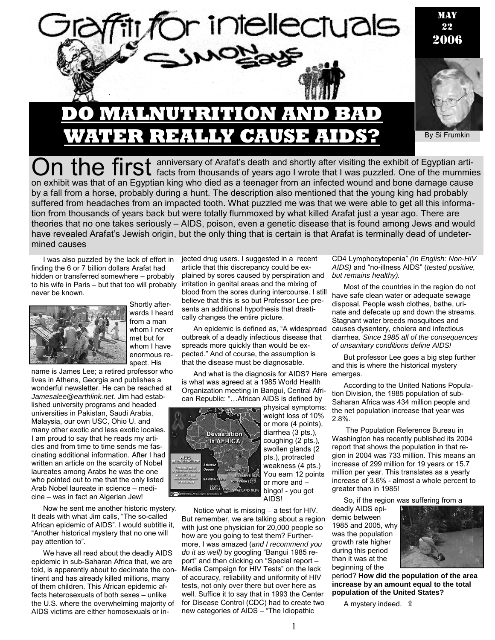

## **MALNUTRITION AN REALLY CAUSE A**

By Si Frumkin

On the first anniversary of Arafat's death and shortly after visiting the exhibit of Egyptian arti-<br>Con the mummies on exhibit was that of an Egyptian king who died as a teenager from an infected wound and bone damage cause by a fall from a horse, probably during a hunt. The description also mentioned that the young king had probably suffered from headaches from an impacted tooth. What puzzled me was that we were able to get all this information from thousands of years back but were totally flummoxed by what killed Arafat just a year ago. There are theories that no one takes seriously – AIDS, poison, even a genetic disease that is found among Jews and would have revealed Arafat's Jewish origin, but the only thing that is certain is that Arafat is terminally dead of undetermined causes

I was also puzzled by the lack of effort in finding the 6 or 7 billion dollars Arafat had hidden or transferred somewhere – probably to his wife in Paris – but that too will probably never be known.



Shortly afterwards I heard from a man whom I never met but for whom I have enormous respect. His

name is James Lee; a retired professor who lives in Athens, Georgia and publishes a wonderful newsletter. He can be reached at *Jamesalee@earthlink.net.* Jim had established university programs and headed universities in Pakistan, Saudi Arabia, Malaysia, our own USC, Ohio U. and many other exotic and less exotic locales. I am proud to say that he reads my articles and from time to time sends me fascinating additional information. After I had written an article on the scarcity of Nobel laureates among Arabs he was the one who pointed out to me that the only listed Arab Nobel laureate in science – medicine – was in fact an Algerian Jew!

Now he sent me another historic mystery. It deals with what Jim calls, "The so-called African epidemic of AIDS". I would subtitle it, "Another historical mystery that no one will pay attention to".

We have all read about the deadly AIDS epidemic in sub-Saharan Africa that, we are told, is apparently about to decimate the continent and has already killed millions, many of them children. This African epidemic affects heterosexuals of both sexes – unlike the U.S. where the overwhelming majority of AIDS victims are either homosexuals or in-

jected drug users. I suggested in a recent article that this discrepancy could be explained by sores caused by perspiration and irritation in genital areas and the mixing of blood from the sores during intercourse. I still believe that this is so but Professor Lee presents an additional hypothesis that drastically changes the entire picture.

An epidemic is defined as, "A widespread outbreak of a deadly infectious disease that spreads more quickly than would be expected." And of course, the assumption is that the disease must be diagnosable.

And what is the diagnosis for AIDS? Here emerges. is what was agreed at a 1985 World Health Organization meeting in Bangui, Central African Republic: "…African AIDS is defined by



physical symptoms: weight loss of 10% or more (4 points), diarrhea (3 pts.), coughing (2 pts.), swollen glands (2 pts.), protracted weakness (4 pts.) You earn 12 points or more and – bingo! - you got AIDS!

Notice what is missing – a test for HIV. But remember, we are talking about a region with just one physician for 20,000 people so how are you going to test them? Furthermore, I was amazed (*and I recommend you do it as well)* by googling "Bangui 1985 report" and then clicking on "Special report – Media Campaign for HIV Tests" on the lack of accuracy, reliability and uniformity of HIV tests, not only over there but over here as well. Suffice it to say that in 1993 the Center for Disease Control (CDC) had to create two new categories of AIDS – "The Idiopathic

CD4 Lymphocytopenia" *(In English: Non-HIV AIDS)* and "no-illness AIDS" (*tested positive, but remains healthy).*

Most of the countries in the region do not have safe clean water or adequate sewage disposal. People wash clothes, bathe, urinate and defecate up and down the streams. Stagnant water breeds mosquitoes and causes dysentery, cholera and infectious diarrhea. *Since 1985 all of the consequences of unsanitary conditions define AIDS!* 

But professor Lee goes a big step further and this is where the historical mystery

According to the United Nations Population Division, the 1985 population of sub-Saharan Africa was 434 million people and the net population increase that year was 2.8%.

 The Population Reference Bureau in Washington has recently published its 2004 report that shows the population in that region in 2004 was 733 million. This means an increase of 299 million for 19 years or 15.7 million per year. This translates as a yearly increase of 3.6% - almost a whole percent to greater than in 1985!

So, if the region was suffering from a

deadly AIDS epidemic between 1985 and 2005, why was the population growth rate higher during this period than it was at the beginning of the



period? **How did the population of the area increase by an amount equal to the total population of the United States?** 

A mystery indeed. ۩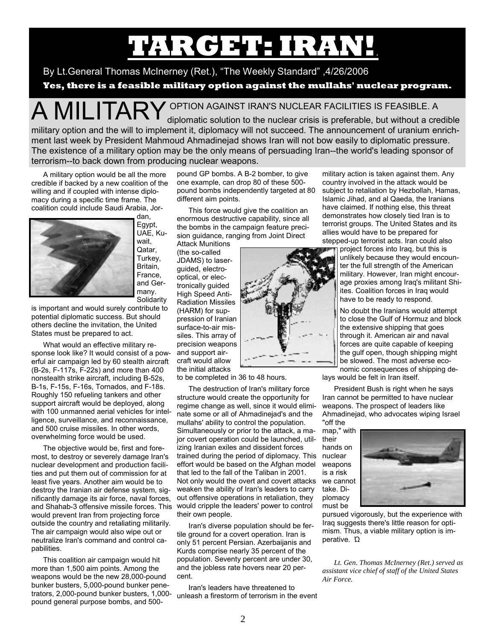# **TARGET: IRAN!**.

By Lt.General Thomas McInerney (Ret.), "The Weekly Standard" ,4/26/2006

**Yes, there is a feasible military option against the mullahs' nuclear program.** 

A MILITARY OPTION AGAINST IRAN'S NUCLEAR FACILITIES IS FEASIBLE. A<br>diplomatic solution to the nuclear crisis is preferable, but without a credible

military option and the will to implement it, diplomacy will not succeed. The announcement of uranium enrichment last week by President Mahmoud Ahmadinejad shows Iran will not bow easily to diplomatic pressure. The existence of a military option may be the only means of persuading Iran--the world's leading sponsor of terrorism--to back down from producing nuclear weapons.

A military option would be all the more credible if backed by a new coalition of the willing and if coupled with intense diplomacy during a specific time frame. The coalition could include Saudi Arabia, Jor-



Egypt, UAE, Kuwait, Qatar, Turkey, Britain, France, and Germany. **Solidarity** 

is important and would surely contribute to potential diplomatic success. But should others decline the invitation, the United States must be prepared to act.

What would an effective military response look like? It would consist of a powerful air campaign led by 60 stealth aircraft (B-2s, F-117s, F-22s) and more than 400 nonstealth strike aircraft, including B-52s, B-1s, F-15s, F-16s, Tornados, and F-18s. Roughly 150 refueling tankers and other support aircraft would be deployed, along with 100 unmanned aerial vehicles for intelligence, surveillance, and reconnaissance, and 500 cruise missiles. In other words, overwhelming force would be used.

The objective would be, first and foremost, to destroy or severely damage Iran's nuclear development and production facilities and put them out of commission for at least five years. Another aim would be to destroy the Iranian air defense system, significantly damage its air force, naval forces, and Shahab-3 offensive missile forces. This would cripple the leaders' power to control would prevent Iran from projecting force outside the country and retaliating militarily. The air campaign would also wipe out or neutralize Iran's command and control capabilities.

This coalition air campaign would hit more than 1,500 aim points. Among the weapons would be the new 28,000-pound bunker busters, 5,000-pound bunker penetrators, 2,000-pound bunker busters, 1,000 pound general purpose bombs, and 500-

pound GP bombs. A B-2 bomber, to give one example, can drop 80 of these 500 pound bombs independently targeted at 80 different aim points.

This force would give the coalition an enormous destructive capability, since all the bombs in the campaign feature precision guidance, ranging from Joint Direct

Attack Munitions (the so-called JDAMS) to laserguided, electrooptical, or electronically guided High Speed Anti-Radiation Missiles (HARM) for suppression of Iranian surface-to-air missiles. This array of precision weapons and support aircraft would allow the initial attacks

to be completed in 36 to 48 hours.

The destruction of Iran's military force structure would create the opportunity for regime change as well, since it would eliminate some or all of Ahmadinejad's and the mullahs' ability to control the population. Simultaneously or prior to the attack, a major covert operation could be launched, utilizing Iranian exiles and dissident forces trained during the period of diplomacy. This effort would be based on the Afghan model that led to the fall of the Taliban in 2001. Not only would the overt and covert attacks weaken the ability of Iran's leaders to carry out offensive operations in retaliation, they their own people.

Iran's diverse population should be fertile ground for a covert operation. Iran is only 51 percent Persian. Azerbaijanis and Kurds comprise nearly 35 percent of the population. Seventy percent are under 30, and the jobless rate hovers near 20 percent.

Iran's leaders have threatened to unleash a firestorm of terrorism in the event

military action is taken against them. Any country involved in the attack would be subject to retaliation by Hezbollah, Hamas, Islamic Jihad, and al Qaeda, the Iranians have claimed. If nothing else, this threat demonstrates how closely tied Iran is to terrorist groups. The United States and its allies would have to be prepared for stepped-up terrorist acts. Iran could also

project forces into Iraq, but this is unlikely because they would encounter the full strength of the American military. However, Iran might encourage proxies among Iraq's militant Shiites. Coalition forces in Iraq would have to be ready to respond.

No doubt the Iranians would attempt to close the Gulf of Hormuz and block the extensive shipping that goes through it. American air and naval forces are quite capable of keeping the gulf open, though shipping might be slowed. The most adverse economic consequences of shipping de-

lays would be felt in Iran itself.

President Bush is right when he says Iran cannot be permitted to have nuclear weapons. The prospect of leaders like Ahmadinejad, who advocates wiping Israel "off the

map," with their hands on nuclear weapons is a risk we cannot take. Diplomacy must be



pursued vigorously, but the experience with Iraq suggests there's little reason for optimism. Thus, a viable military option is imperative. Ώ

*Lt. Gen. Thomas McInerney (Ret.) served as assistant vice chief of staff of the United States Air Force.* 

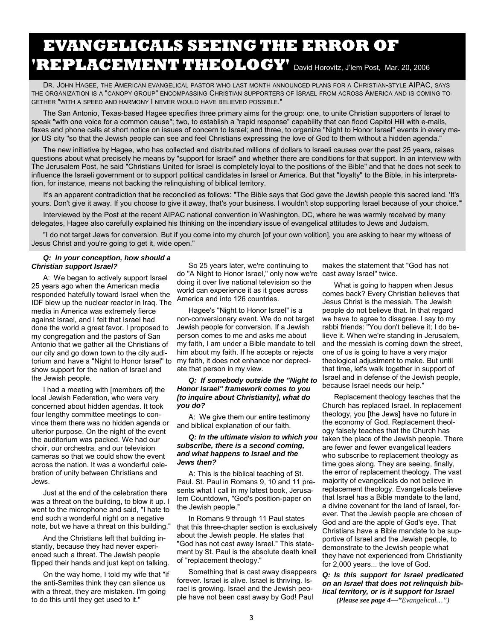### **EVANGELICALS SEEING THE ERROR OF 'REPLACEMENT THEOLOGY'** David Horovitz, J'lem Post, Mar. 20, 2006

DR. JOHN HAGEE, THE AMERICAN EVANGELICAL PASTOR WHO LAST MONTH ANNOUNCED PLANS FOR A CHRISTIAN-STYLE AIPAC, SAYS THE ORGANIZATION IS A "CANOPY GROUP" ENCOMPASSING CHRISTIAN SUPPORTERS OF ISRAEL FROM ACROSS AMERICA AND IS COMING TO-GETHER "WITH A SPEED AND HARMONY I NEVER WOULD HAVE BELIEVED POSSIBLE."

The San Antonio, Texas-based Hagee specifies three primary aims for the group: one, to unite Christian supporters of Israel to speak "with one voice for a common cause"; two, to establish a "rapid response" capability that can flood Capitol Hill with e-mails, faxes and phone calls at short notice on issues of concern to Israel; and three, to organize "Night to Honor Israel" events in every major US city "so that the Jewish people can see and feel Christians expressing the love of God to them without a hidden agenda."

The new initiative by Hagee, who has collected and distributed millions of dollars to Israeli causes over the past 25 years, raises questions about what precisely he means by "support for Israel" and whether there are conditions for that support. In an interview with The Jerusalem Post, he said "Christians United for Israel is completely loyal to the positions of the Bible" and that he does not seek to influence the Israeli government or to support political candidates in Israel or America. But that "loyalty" to the Bible, in his interpretation, for instance, means not backing the relinquishing of biblical territory.

It's an apparent contradiction that he reconciled as follows: "The Bible says that God gave the Jewish people this sacred land. 'It's yours. Don't give it away. If you choose to give it away, that's your business. I wouldn't stop supporting Israel because of your choice.'"

Interviewed by the Post at the recent AIPAC national convention in Washington, DC, where he was warmly received by many delegates, Hagee also carefully explained his thinking on the incendiary issue of evangelical attitudes to Jews and Judaism.

"I do not target Jews for conversion. But if you come into my church [of your own volition], you are asking to hear my witness of Jesus Christ and you're going to get it, wide open."

#### *Q: In your conception, how should a Christian support Israel?*

A: We began to actively support Israel 25 years ago when the American media responded hatefully toward Israel when the IDF blew up the nuclear reactor in Iraq. The media in America was extremely fierce against Israel, and I felt that Israel had done the world a great favor. I proposed to my congregation and the pastors of San Antonio that we gather all the Christians of our city and go down town to the city auditorium and have a "Night to Honor Israel" to show support for the nation of Israel and the Jewish people.

I had a meeting with [members of] the local Jewish Federation, who were very concerned about hidden agendas. It took four lengthy committee meetings to convince them there was no hidden agenda or ulterior purpose. On the night of the event the auditorium was packed. We had our choir, our orchestra, and our television cameras so that we could show the event across the nation. It was a wonderful celebration of unity between Christians and Jews.

Just at the end of the celebration there was a threat on the building, to blow it up. I went to the microphone and said, "I hate to end such a wonderful night on a negative note, but we have a threat on this building."

And the Christians left that building instantly, because they had never experienced such a threat. The Jewish people flipped their hands and just kept on talking.

On the way home, I told my wife that "if the anti-Semites think they can silence us with a threat, they are mistaken. I'm going to do this until they get used to it."

So 25 years later, we're continuing to do "A Night to Honor Israel," only now we're cast away Israel" twice. doing it over live national television so the world can experience it as it goes across America and into 126 countries.

Hagee's "Night to Honor Israel" is a non-conversionary event. We do not target Jewish people for conversion. If a Jewish person comes to me and asks me about my faith, I am under a Bible mandate to tell him about my faith. If he accepts or rejects my faith, it does not enhance nor depreciate that person in my view.

#### *Q: If somebody outside the "Night to Honor Israel" framework comes to you [to inquire about Christianity], what do you do?*

A: We give them our entire testimony and biblical explanation of our faith.

#### *Q: In the ultimate vision to which you subscribe, there is a second coming, and what happens to Israel and the Jews then?*

A: This is the biblical teaching of St. Paul. St. Paul in Romans 9, 10 and 11 presents what I call in my latest book, Jerusalem Countdown, "God's position-paper on the Jewish people."

In Romans 9 through 11 Paul states that this three-chapter section is exclusively about the Jewish people. He states that "God has not cast away Israel." This statement by St. Paul is the absolute death knell of "replacement theology."

Something that is cast away disappears forever. Israel is alive. Israel is thriving. Israel is growing. Israel and the Jewish people have not been cast away by God! Paul

makes the statement that "God has not

What is going to happen when Jesus comes back? Every Christian believes that Jesus Christ is the messiah. The Jewish people do not believe that. In that regard we have to agree to disagree. I say to my rabbi friends: "You don't believe it; I do believe it. When we're standing in Jerusalem, and the messiah is coming down the street, one of us is going to have a very major theological adjustment to make. But until that time, let's walk together in support of Israel and in defense of the Jewish people, because Israel needs our help."

Replacement theology teaches that the Church has replaced Israel. In replacement theology, you [the Jews] have no future in the economy of God. Replacement theology falsely teaches that the Church has taken the place of the Jewish people. There are fewer and fewer evangelical leaders who subscribe to replacement theology as time goes along. They are seeing, finally, the error of replacement theology. The vast majority of evangelicals do not believe in replacement theology. Evangelicals believe that Israel has a Bible mandate to the land, a divine covenant for the land of Israel, forever. That the Jewish people are chosen of God and are the apple of God's eye. That Christians have a Bible mandate to be supportive of Israel and the Jewish people, to demonstrate to the Jewish people what they have not experienced from Christianity for 2,000 years... the love of God.

#### *Q: Is this support for Israel predicated on an Israel that does not relinquish biblical territory, or is it support for Israel*

*(Please see page 4—"Evangelical…")*